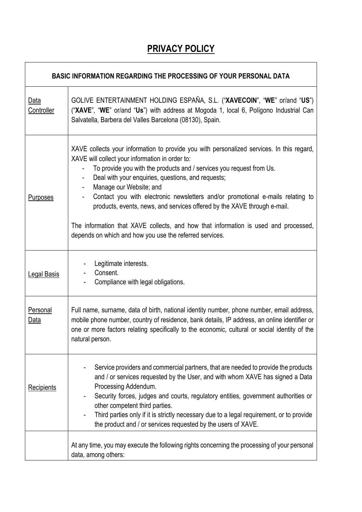# **PRIVACY POLICY**

٦

 $\overline{1}$ 

| <b>BASIC INFORMATION REGARDING THE PROCESSING OF YOUR PERSONAL DATA</b> |                                                                                                                                                                                                                                                                                                                                                                                                                                                                                                                                                                                                                       |
|-------------------------------------------------------------------------|-----------------------------------------------------------------------------------------------------------------------------------------------------------------------------------------------------------------------------------------------------------------------------------------------------------------------------------------------------------------------------------------------------------------------------------------------------------------------------------------------------------------------------------------------------------------------------------------------------------------------|
| Data<br>Controller                                                      | GOLIVE ENTERTAINMENT HOLDING ESPAÑA, S.L. ("XAVECOIN", "WE" or/and "US")<br>("XAVE", "WE" or/and "Us") with address at Mogoda 1, local 6, Polígono Industrial Can<br>Salvatella, Barbera del Valles Barcelona (08130), Spain.                                                                                                                                                                                                                                                                                                                                                                                         |
| <b>Purposes</b>                                                         | XAVE collects your information to provide you with personalized services. In this regard,<br>XAVE will collect your information in order to:<br>To provide you with the products and / services you request from Us.<br>Deal with your enquiries, questions, and requests;<br>Manage our Website; and<br>Contact you with electronic newsletters and/or promotional e-mails relating to<br>products, events, news, and services offered by the XAVE through e-mail.<br>The information that XAVE collects, and how that information is used and processed,<br>depends on which and how you use the referred services. |
| <b>Legal Basis</b>                                                      | Legitimate interests.<br>Consent.<br>Compliance with legal obligations.                                                                                                                                                                                                                                                                                                                                                                                                                                                                                                                                               |
| Personal<br><u>Data</u>                                                 | Full name, surname, data of birth, national identity number, phone number, email address,<br>mobile phone number, country of residence, bank details, IP address, an online identifier or<br>one or more factors relating specifically to the economic, cultural or social identity of the<br>natural person.                                                                                                                                                                                                                                                                                                         |
| Recipients                                                              | Service providers and commercial partners, that are needed to provide the products<br>and / or services requested by the User, and with whom XAVE has signed a Data<br>Processing Addendum.<br>Security forces, judges and courts, regulatory entities, government authorities or<br>other competent third parties.<br>Third parties only if it is strictly necessary due to a legal requirement, or to provide<br>the product and / or services requested by the users of XAVE.                                                                                                                                      |
|                                                                         | At any time, you may execute the following rights concerning the processing of your personal<br>data, among others:                                                                                                                                                                                                                                                                                                                                                                                                                                                                                                   |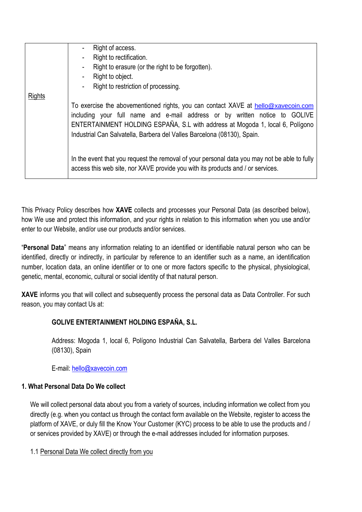|        | Right of access.                                                                                                                                                                                                                                                                                                            |
|--------|-----------------------------------------------------------------------------------------------------------------------------------------------------------------------------------------------------------------------------------------------------------------------------------------------------------------------------|
|        | Right to rectification.                                                                                                                                                                                                                                                                                                     |
|        | Right to erasure (or the right to be forgotten).                                                                                                                                                                                                                                                                            |
|        | Right to object.                                                                                                                                                                                                                                                                                                            |
|        | Right to restriction of processing.                                                                                                                                                                                                                                                                                         |
| Rights |                                                                                                                                                                                                                                                                                                                             |
|        | To exercise the abovementioned rights, you can contact XAVE at hello@xavecoin.com<br>including your full name and e-mail address or by written notice to GOLIVE<br>ENTERTAINMENT HOLDING ESPAÑA, S.L with address at Mogoda 1, local 6, Polígono<br>Industrial Can Salvatella, Barbera del Valles Barcelona (08130), Spain. |
|        | In the event that you request the removal of your personal data you may not be able to fully<br>access this web site, nor XAVE provide you with its products and / or services.                                                                                                                                             |

This Privacy Policy describes how **XAVE** collects and processes your Personal Data (as described below), how We use and protect this information, and your rights in relation to this information when you use and/or enter to our Website, and/or use our products and/or services.

"**Personal Data**" means any information relating to an identified or identifiable natural person who can be identified, directly or indirectly, in particular by reference to an identifier such as a name, an identification number, location data, an online identifier or to one or more factors specific to the physical, physiological, genetic, mental, economic, cultural or social identity of that natural person.

**XAVE** informs you that will collect and subsequently process the personal data as Data Controller. For such reason, you may contact Us at:

# **GOLIVE ENTERTAINMENT HOLDING ESPAÑA, S.L.**

Address: Mogoda 1, local 6, Polígono Industrial Can Salvatella, Barbera del Valles Barcelona (08130), Spain

E-mail: [hello@xavecoin.com](mailto:hello@xavecoin.com)

### **1. What Personal Data Do We collect**

We will collect personal data about you from a variety of sources, including information we collect from you directly (e.g. when you contact us through the contact form available on the Website, register to access the platform of XAVE, or duly fill the Know Your Customer (KYC) process to be able to use the products and / or services provided by XAVE) or through the e-mail addresses included for information purposes.

1.1 Personal Data We collect directly from you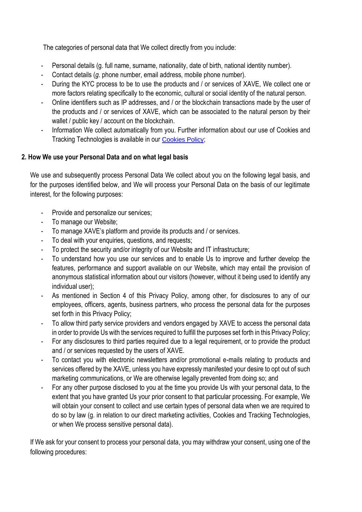The categories of personal data that We collect directly from you include:

- Personal details (g. full name, surname, nationality, date of birth, national identity number).
- Contact details (*g.* phone number, email address, mobile phone number).
- During the KYC process to be to use the products and / or services of XAVE, We collect one or more factors relating specifically to the economic, cultural or social identity of the natural person.
- Online identifiers such as IP addresses, and / or the blockchain transactions made by the user of the products and / or services of XAVE, which can be associated to the natural person by their wallet / public key / account on the blockchain.
- Information We collect automatically from you. Further information about our use of Cookies and Tracking Technologies is available in our [Cookies Policy](https://www.xavecoin.io/wp-content/uploads/2021/08/xave-cookiepolicy-07122021.pdf);

# **2. How We use your Personal Data and on what legal basis**

We use and subsequently process Personal Data We collect about you on the following legal basis, and for the purposes identified below, and We will process your Personal Data on the basis of our legitimate interest, for the following purposes:

- Provide and personalize our services;
- To manage our Website;
- To manage XAVE's platform and provide its products and / or services.
- To deal with your enquiries, questions, and requests;
- To protect the security and/or integrity of our Website and IT infrastructure;
- To understand how you use our services and to enable Us to improve and further develop the features, performance and support available on our Website, which may entail the provision of anonymous statistical information about our visitors (however, without it being used to identify any individual user);
- As mentioned in Section 4 of this Privacy Policy, among other, for disclosures to any of our employees, officers, agents, business partners, who process the personal data for the purposes set forth in this Privacy Policy;
- To allow third party service providers and vendors engaged by XAVE to access the personal data in order to provide Us with the services required to fulfill the purposes set forth in this Privacy Policy;
- For any disclosures to third parties required due to a legal requirement, or to provide the product and / or services requested by the users of XAVE.
- To contact you with electronic newsletters and/or promotional e-mails relating to products and services offered by the XAVE, unless you have expressly manifested your desire to opt out of such marketing communications, or We are otherwise legally prevented from doing so; and
- For any other purpose disclosed to you at the time you provide Us with your personal data, to the extent that you have granted Us your prior consent to that particular processing. For example, We will obtain your consent to collect and use certain types of personal data when we are required to do so by law (g. in relation to our direct marketing activities, Cookies and Tracking Technologies, or when We process sensitive personal data).

If We ask for your consent to process your personal data, you may withdraw your consent, using one of the following procedures: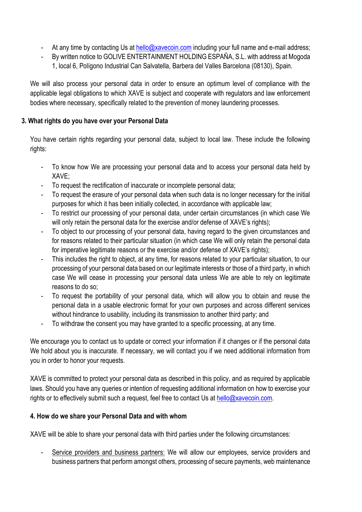- At any time by contacting Us at [hello@xavecoin.com](mailto:hello@xavecoin.com) including your full name and e-mail address;
- By written notice to GOLIVE ENTERTAINMENT HOLDING ESPAÑA, S.L. with address at Mogoda 1, local 6, Polígono Industrial Can Salvatella, Barbera del Valles Barcelona (08130), Spain.

We will also process your personal data in order to ensure an optimum level of compliance with the applicable legal obligations to which XAVE is subject and cooperate with regulators and law enforcement bodies where necessary, specifically related to the prevention of money laundering processes.

## **3. What rights do you have over your Personal Data**

You have certain rights regarding your personal data, subject to local law. These include the following rights:

- To know how We are processing your personal data and to access your personal data held by XAVE;
- To request the rectification of inaccurate or incomplete personal data;
- To request the erasure of your personal data when such data is no longer necessary for the initial purposes for which it has been initially collected, in accordance with applicable law;
- To restrict our processing of your personal data, under certain circumstances (in which case We will only retain the personal data for the exercise and/or defense of XAVE's rights);
- To object to our processing of your personal data, having regard to the given circumstances and for reasons related to their particular situation (in which case We will only retain the personal data for imperative legitimate reasons or the exercise and/or defense of XAVE's rights):
- This includes the right to object, at any time, for reasons related to your particular situation, to our processing of your personal data based on our legitimate interests or those of a third party, in which case We will cease in processing your personal data unless We are able to rely on legitimate reasons to do so;
- To request the portability of your personal data, which will allow you to obtain and reuse the personal data in a usable electronic format for your own purposes and across different services without hindrance to usability, including its transmission to another third party; and
- To withdraw the consent you may have granted to a specific processing, at any time.

We encourage you to contact us to update or correct your information if it changes or if the personal data We hold about you is inaccurate. If necessary, we will contact you if we need additional information from you in order to honor your requests.

XAVE is committed to protect your personal data as described in this policy, and as required by applicable laws. Should you have any queries or intention of requesting additional information on how to exercise your rights or to effectively submit such a request, feel free to contact Us at [hello@xavecoin.com.](mailto:hello@xavecoin.com)

# **4. How do we share your Personal Data and with whom**

XAVE will be able to share your personal data with third parties under the following circumstances:

- Service providers and business partners: We will allow our employees, service providers and business partners that perform amongst others, processing of secure payments, web maintenance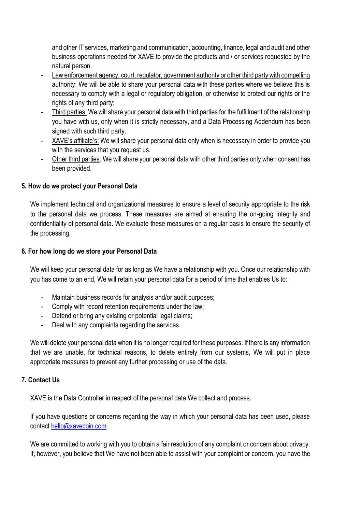and other IT services, marketing and communication, accounting, finance, legal and audit and other business operations needed for XAVE to provide the products and / or services requested by the natural person.

- Law enforcement agency, court, regulator, government authority or other third party with compelling authority: We will be able to share your personal data with these parties where we believe this is necessary to comply with a legal or regulatory obligation, or otherwise to protect our rights or the rights of any third party;
- Third parties: We will share your personal data with third parties for the fulfillment of the relationship you have with us, only when it is strictly necessary, and a Data Processing Addendum has been signed with such third party.
- XAVE's affiliate's: We will share your personal data only when is necessary in order to provide you with the services that you request us.
- Other third parties: We will share your personal data with other third parties only when consent has been provided.

#### **5. How do we protect your Personal Data**

We implement technical and organizational measures to ensure a level of security appropriate to the risk to the personal data we process. These measures are aimed at ensuring the on-going integrity and confidentiality of personal data. We evaluate these measures on a regular basis to ensure the security of the processing.

#### **6. For how long do we store your Personal Data**

We will keep your personal data for as long as We have a relationship with you. Once our relationship with you has come to an end, We will retain your personal data for a period of time that enables Us to:

- Maintain business records for analysis and/or audit purposes;
- Comply with record retention requirements under the law;
- Defend or bring any existing or potential legal claims;
- Deal with any complaints regarding the services.

We will delete your personal data when it is no longer required for these purposes. If there is any information that we are unable, for technical reasons, to delete entirely from our systems, We will put in place appropriate measures to prevent any further processing or use of the data.

### **7. Contact Us**

XAVE is the Data Controller in respect of the personal data We collect and process.

If you have questions or concerns regarding the way in which your personal data has been used, please contact [hello@xavecoin.com.](mailto:hello@xavecoin.com)

We are committed to working with you to obtain a fair resolution of any complaint or concern about privacy. If, however, you believe that We have not been able to assist with your complaint or concern, you have the